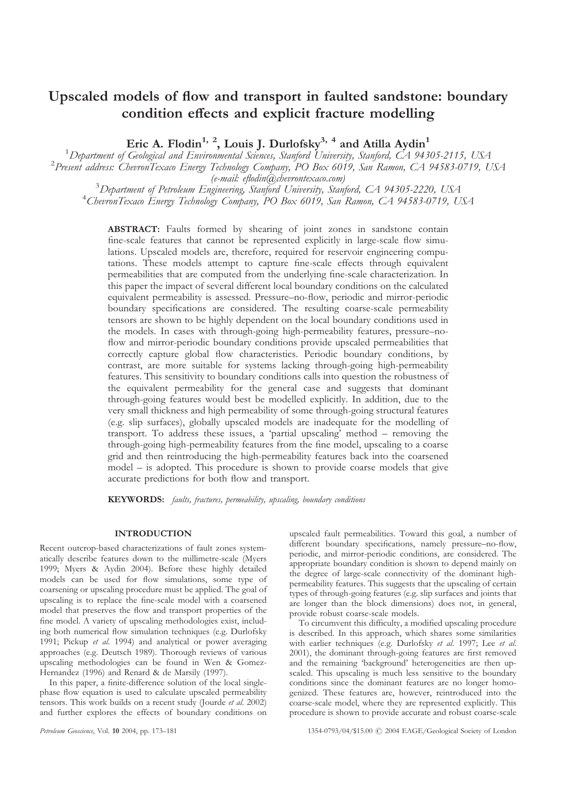# **Upscaled models of flow and transport in faulted sandstone: boundary condition effects and explicit fracture modelling**

Eric A. Flodin<sup>1, 2</sup>, Louis J. Durlofsky<sup>3, 4</sup> and Atilla Aydin<sup>1</sup>

<sup>1</sup> Department of Geological and Environmental Sciences, Stanford University, Stanford, CA 94305-2115, USA<br><sup>2</sup> Present address: ChevrovTexace Energy Technology Company, PO Box 6019, San Banon, CA 94583.0719, I *Present address: ChevronTexaco Energy Technology Company, PO Box 6019, San Ramon, CA 94583-0719, USA (e-mail: eflodin@chevrontexaco.com)* <sup>3</sup>

*Department of Petroleum Engineering, Stanford University, Stanford, CA 94305-2220, USA* <sup>4</sup> *ChevronTexaco Energy Technology Company, PO Box 6019, San Ramon, CA 94583-0719, USA*

**ABSTRACT:** Faults formed by shearing of joint zones in sandstone contain fine-scale features that cannot be represented explicitly in large-scale flow simulations. Upscaled models are, therefore, required for reservoir engineering computations. These models attempt to capture fine-scale effects through equivalent permeabilities that are computed from the underlying fine-scale characterization. In this paper the impact of several different local boundary conditions on the calculated equivalent permeability is assessed. Pressure–no-flow, periodic and mirror-periodic boundary specifications are considered. The resulting coarse-scale permeability tensors are shown to be highly dependent on the local boundary conditions used in the models. In cases with through-going high-permeability features, pressure–noflow and mirror-periodic boundary conditions provide upscaled permeabilities that correctly capture global flow characteristics. Periodic boundary conditions, by contrast, are more suitable for systems lacking through-going high-permeability features. This sensitivity to boundary conditions calls into question the robustness of the equivalent permeability for the general case and suggests that dominant through-going features would best be modelled explicitly. In addition, due to the very small thickness and high permeability of some through-going structural features (e.g. slip surfaces), globally upscaled models are inadequate for the modelling of transport. To address these issues, a 'partial upscaling' method – removing the through-going high-permeability features from the fine model, upscaling to a coarse grid and then reintroducing the high-permeability features back into the coarsened model – is adopted. This procedure is shown to provide coarse models that give accurate predictions for both flow and transport.

**KEYWORDS:** *faults, fractures, permeability, upscaling, boundary conditions*

# **INTRODUCTION**

Recent outcrop-based characterizations of fault zones systematically describe features down to the millimetre-scale (Myers 1999; Myers & Aydin 2004). Before these highly detailed models can be used for flow simulations, some type of coarsening or upscaling procedure must be applied. The goal of upscaling is to replace the fine-scale model with a coarsened model that preserves the flow and transport properties of the fine model. A variety of upscaling methodologies exist, including both numerical flow simulation techniques (e.g. Durlofsky 1991; Pickup *et al*. 1994) and analytical or power averaging approaches (e.g. Deutsch 1989). Thorough reviews of various upscaling methodologies can be found in Wen & Gomez-Hernandez (1996) and Renard & de Marsily (1997).

In this paper, a finite-difference solution of the local singlephase flow equation is used to calculate upscaled permeability tensors. This work builds on a recent study (Jourde *et al*. 2002) and further explores the effects of boundary conditions on upscaled fault permeabilities. Toward this goal, a number of different boundary specifications, namely pressure–no-flow, periodic, and mirror-periodic conditions, are considered. The appropriate boundary condition is shown to depend mainly on the degree of large-scale connectivity of the dominant highpermeability features. This suggests that the upscaling of certain types of through-going features (e.g. slip surfaces and joints that are longer than the block dimensions) does not, in general, provide robust coarse-scale models.

To circumvent this difficulty, a modified upscaling procedure is described. In this approach, which shares some similarities with earlier techniques (e.g. Durlofsky *et al*. 1997; Lee *et al*. 2001), the dominant through-going features are first removed and the remaining 'background' heterogeneities are then upscaled. This upscaling is much less sensitive to the boundary conditions since the dominant features are no longer homogenized. These features are, however, reintroduced into the coarse-scale model, where they are represented explicitly. This procedure is shown to provide accurate and robust coarse-scale

*Petroleum Geoscience*, Vol. **10** 2004, pp. 173–181 1354-0793/04/\$15.00 2004 EAGE/Geological Society of London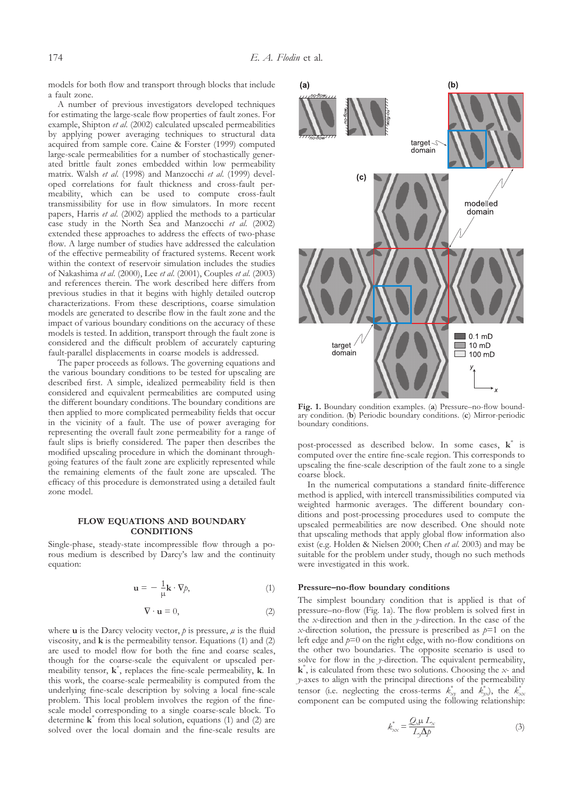models for both flow and transport through blocks that include a fault zone.

A number of previous investigators developed techniques for estimating the large-scale flow properties of fault zones. For example, Shipton *et al*. (2002) calculated upscaled permeabilities by applying power averaging techniques to structural data acquired from sample core. Caine & Forster (1999) computed large-scale permeabilities for a number of stochastically generated brittle fault zones embedded within low permeability matrix. Walsh *et al*. (1998) and Manzocchi *et al*. (1999) developed correlations for fault thickness and cross-fault permeability, which can be used to compute cross-fault transmissibility for use in flow simulators. In more recent papers, Harris *et al*. (2002) applied the methods to a particular case study in the North Sea and Manzocchi *et al*. (2002) extended these approaches to address the effects of two-phase flow. A large number of studies have addressed the calculation of the effective permeability of fractured systems. Recent work within the context of reservoir simulation includes the studies of Nakashima *et al*. (2000), Lee *et al*. (2001), Couples *et al*. (2003) and references therein. The work described here differs from previous studies in that it begins with highly detailed outcrop characterizations. From these descriptions, coarse simulation models are generated to describe flow in the fault zone and the impact of various boundary conditions on the accuracy of these models is tested. In addition, transport through the fault zone is considered and the difficult problem of accurately capturing fault-parallel displacements in coarse models is addressed.

The paper proceeds as follows. The governing equations and the various boundary conditions to be tested for upscaling are described first. A simple, idealized permeability field is then considered and equivalent permeabilities are computed using the different boundary conditions. The boundary conditions are then applied to more complicated permeability fields that occur in the vicinity of a fault. The use of power averaging for representing the overall fault zone permeability for a range of fault slips is briefly considered. The paper then describes the modified upscaling procedure in which the dominant throughgoing features of the fault zone are explicitly represented while the remaining elements of the fault zone are upscaled. The efficacy of this procedure is demonstrated using a detailed fault zone model.

## **FLOW EQUATIONS AND BOUNDARY CONDITIONS**

Single-phase, steady-state incompressible flow through a porous medium is described by Darcy's law and the continuity equation:

$$
\mathbf{u} = -\frac{1}{\mu} \mathbf{k} \cdot \nabla p, \tag{1}
$$

$$
\nabla \cdot \mathbf{u} = 0,\tag{2}
$$

where  $\bf{u}$  is the Darcy velocity vector,  $\phi$  is pressure,  $\mu$  is the fluid viscosity, and **k** is the permeability tensor. Equations (1) and (2) are used to model flow for both the fine and coarse scales, though for the coarse-scale the equivalent or upscaled permeability tensor, **k**\* , replaces the fine-scale permeability, **k**. In this work, the coarse-scale permeability is computed from the underlying fine-scale description by solving a local fine-scale problem. This local problem involves the region of the finescale model corresponding to a single coarse-scale block. To determine **k**\* from this local solution, equations (1) and (2) are solved over the local domain and the fine-scale results are



**Fig. 1.** Boundary condition examples. (**a**) Pressure–no-flow boundary condition. (**b**) Periodic boundary conditions. (**c**) Mirror-periodic boundary conditions.

post-processed as described below. In some cases, **k**\* is computed over the entire fine-scale region. This corresponds to upscaling the fine-scale description of the fault zone to a single coarse block.

In the numerical computations a standard finite-difference method is applied, with intercell transmissibilities computed via weighted harmonic averages. The different boundary conditions and post-processing procedures used to compute the upscaled permeabilities are now described. One should note that upscaling methods that apply global flow information also exist (e.g. Holden & Nielsen 2000; Chen *et al*. 2003) and may be suitable for the problem under study, though no such methods were investigated in this work.

## **Pressure–no-flow boundary conditions**

The simplest boundary condition that is applied is that of pressure–no-flow (Fig. 1a). The flow problem is solved first in the *x*-direction and then in the *y*-direction. In the case of the *x*-direction solution, the pressure is prescribed as *p*=1 on the left edge and *p*=0 on the right edge, with no-flow conditions on the other two boundaries. The opposite scenario is used to solve for flow in the *y*-direction. The equivalent permeability, **k**\* , is calculated from these two solutions. Choosing the *x*- and *y*-axes to align with the principal directions of the permeability tensor (i.e. neglecting the cross-terms  $k_{xy}^*$  and  $k_{yx}^*$ ), the  $k_{xx}^*$ component can be computed using the following relationship:

$$
k_{xx}^* = \frac{Q_x \mu L_x}{L_y \Delta p} \tag{3}
$$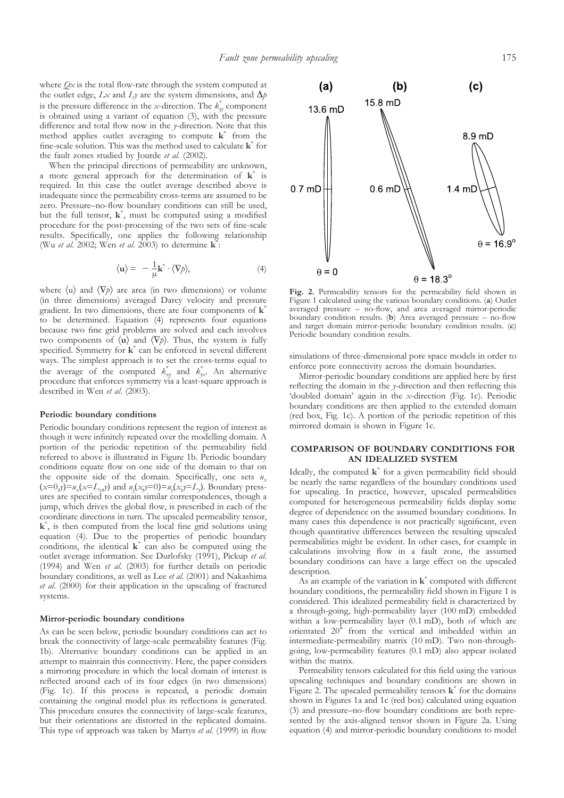where  $Qx$  is the total flow-rate through the system computed at the outlet edge,  $Lx$  and  $Ly$  are the system dimensions, and  $\Delta p$ is the pressure difference in the *x*-direction. The  $k_{yy}^*$  component is obtained using a variant of equation (3), with the pressure difference and total flow now in the *y*-direction. Note that this method applies outlet averaging to compute **k**\* from the fine-scale solution. This was the method used to calculate **k**\* for the fault zones studied by Jourde *et al*. (2002).

When the principal directions of permeability are unknown, a more general approach for the determination of **k**\* is required. In this case the outlet average described above is inadequate since the permeability cross-terms are assumed to be zero. Pressure–no-flow boundary conditions can still be used, but the full tensor, **k**\* , must be computed using a modified procedure for the post-processing of the two sets of fine-scale results. Specifically, one applies the following relationship (Wu *et al*. 2002; Wen *et al*. 2003) to determine **k**\* :

$$
\langle \mathbf{u} \rangle = -\frac{1}{\mu} \mathbf{k}^* \cdot \langle \nabla \phi \rangle, \tag{4}
$$

where  $\langle u \rangle$  and  $\langle \nabla p \rangle$  are area (in two dimensions) or volume (in three dimensions) averaged Darcy velocity and pressure gradient. In two dimensions, there are four components of **k**\* to be determined. Equation (4) represents four equations because two fine grid problems are solved and each involves two components of  $\langle u \rangle$  and  $\langle \nabla p \rangle$ . Thus, the system is fully specified. Symmetry for **k**\* can be enforced in several different ways. The simplest approach is to set the cross-terms equal to the average of the computed  $k_{xy}^*$  and  $k_{yx}^*$ . An alternative procedure that enforces symmetry via a least-square approach is described in Wen *et al*. (2003).

#### **Periodic boundary conditions**

Periodic boundary conditions represent the region of interest as though it were infinitely repeated over the modelling domain. A portion of the periodic repetition of the permeability field referred to above is illustrated in Figure 1b. Periodic boundary conditions equate flow on one side of the domain to that on the opposite side of the domain. Specifically, one sets  $u_x$ ~*x*=0,*y*!=*ux*~*x*=*Lx*,*y*! and *uy* ~*x*,*y*=0!=*uy* ~*x*,*y*=*Ly* !. Boundary pressures are specified to contain similar correspondences, though a jump, which drives the global flow, is prescribed in each of the coordinate directions in turn. The upscaled permeability tensor, **k**\* , is then computed from the local fine grid solutions using equation (4). Due to the properties of periodic boundary conditions, the identical **k**\* can also be computed using the outlet average information. See Durlofsky (1991), Pickup *et al*. (1994) and Wen *et al*. (2003) for further details on periodic boundary conditions, as well as Lee *et al*. (2001) and Nakashima *et al*. (2000) for their application in the upscaling of fractured systems.

#### **Mirror-periodic boundary conditions**

As can be seen below, periodic boundary conditions can act to break the connectivity of large-scale permeability features (Fig. 1b). Alternative boundary conditions can be applied in an attempt to maintain this connectivity. Here, the paper considers a mirroring procedure in which the local domain of interest is reflected around each of its four edges (in two dimensions) (Fig. 1c). If this process is repeated, a periodic domain containing the original model plus its reflections is generated. This procedure ensures the connectivity of large-scale features, but their orientations are distorted in the replicated domains. This type of approach was taken by Martys *et al*. (1999) in flow



**Fig. 2.** Permeability tensors for the permeability field shown in Figure 1 calculated using the various boundary conditions. (**a**) Outlet averaged pressure – no-flow, and area averaged mirror-periodic boundary condition results. (**b**) Area averaged pressure – no-flow and target domain mirror-periodic boundary condition results. (**c**) Periodic boundary condition results.

simulations of three-dimensional pore space models in order to enforce pore connectivity across the domain boundaries.

Mirror-periodic boundary conditions are applied here by first reflecting the domain in the *y*-direction and then reflecting this 'doubled domain' again in the *x*-direction (Fig. 1c). Periodic boundary conditions are then applied to the extended domain (red box, Fig. 1c). A portion of the periodic repetition of this mirrored domain is shown in Figure 1c.

#### **COMPARISON OF BOUNDARY CONDITIONS FOR AN IDEALIZED SYSTEM**

Ideally, the computed  $\mathbf{k}^*$  for a given permeability field should be nearly the same regardless of the boundary conditions used for upscaling. In practice, however, upscaled permeabilities computed for heterogeneous permeability fields display some degree of dependence on the assumed boundary conditions. In many cases this dependence is not practically significant, even though quantitative differences between the resulting upscaled permeabilities might be evident. In other cases, for example in calculations involving flow in a fault zone, the assumed boundary conditions can have a large effect on the upscaled description.

As an example of the variation in **k**\* computed with different boundary conditions, the permeability field shown in Figure 1 is considered. This idealized permeability field is characterized by a through-going, high-permeability layer (100 mD) embedded within a low-permeability layer (0.1 mD), both of which are orientated  $20<sup>5</sup>$  from the vertical and imbedded within an intermediate-permeability matrix (10 mD). Two non-throughgoing, low-permeability features (0.1 mD) also appear isolated within the matrix.

Permeability tensors calculated for this field using the various upscaling techniques and boundary conditions are shown in Figure 2. The upscaled permeability tensors **k**\* for the domains shown in Figures 1a and 1c (red box) calculated using equation (3) and pressure–no-flow boundary conditions are both represented by the axis-aligned tensor shown in Figure 2a. Using equation (4) and mirror-periodic boundary conditions to model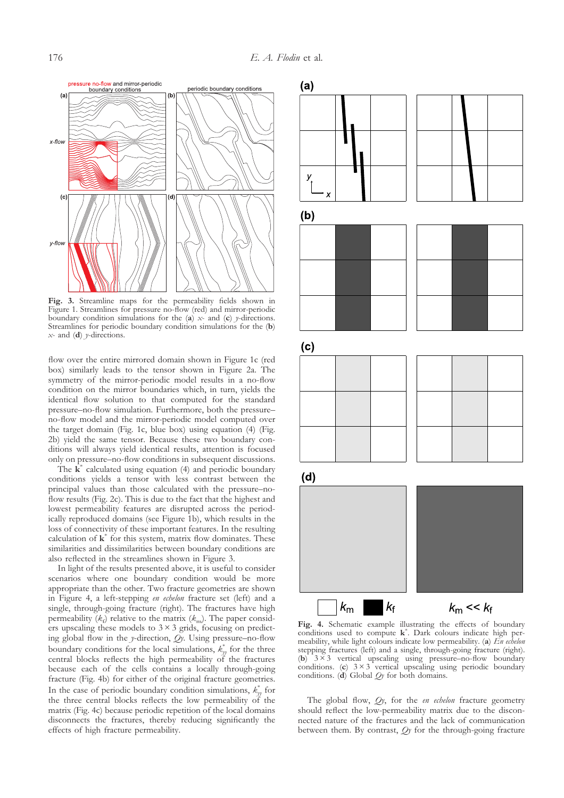

**Fig. 3.** Streamline maps for the permeability fields shown in Figure 1. Streamlines for pressure no-flow (red) and mirror-periodic boundary condition simulations for the (**a**) *x*- and (**c**) *y*-directions. Streamlines for periodic boundary condition simulations for the (**b**) *x*- and (**d**) *y*-directions.

flow over the entire mirrored domain shown in Figure 1c (red box) similarly leads to the tensor shown in Figure 2a. The symmetry of the mirror-periodic model results in a no-flow condition on the mirror boundaries which, in turn, yields the identical flow solution to that computed for the standard pressure–no-flow simulation. Furthermore, both the pressure– no-flow model and the mirror-periodic model computed over the target domain (Fig. 1c, blue box) using equation (4) (Fig. 2b) yield the same tensor. Because these two boundary conditions will always yield identical results, attention is focused only on pressure–no-flow conditions in subsequent discussions.

The **k**\* calculated using equation (4) and periodic boundary conditions yields a tensor with less contrast between the principal values than those calculated with the pressure–noflow results (Fig. 2c). This is due to the fact that the highest and lowest permeability features are disrupted across the periodically reproduced domains (see Figure 1b), which results in the loss of connectivity of these important features. In the resulting calculation of **k**\* for this system, matrix flow dominates. These similarities and dissimilarities between boundary conditions are also reflected in the streamlines shown in Figure 3.

In light of the results presented above, it is useful to consider scenarios where one boundary condition would be more appropriate than the other. Two fracture geometries are shown in Figure 4, a left-stepping *en echelon* fracture set (left) and a single, through-going fracture (right). The fractures have high permeability ( $k_f$ ) relative to the matrix ( $k_m$ ). The paper considers upscaling these models to  $3 \times 3$  grids, focusing on predicting global flow in the *y*-direction, *Qy*. Using pressure–no-flow boundary conditions for the local simulations,  $k_{yy}^*$  for the three central blocks reflects the high permeability of the fractures because each of the cells contains a locally through-going fracture (Fig. 4b) for either of the original fracture geometries. In the case of periodic boundary condition simulations,  $k_{y}^{*}$  for the three central blocks reflects the low permeability of the matrix (Fig. 4c) because periodic repetition of the local domains disconnects the fractures, thereby reducing significantly the effects of high fracture permeability.



**Fig. 4.** Schematic example illustrating the effects of boundary conditions used to compute **k**\* . Dark colours indicate high permeability, while light colours indicate low permeability. (**a**) *En echelon* stepping fractures (left) and a single, through-going fracture (right).<br>(b)  $3 \times 3$  vertical upscaling using pressure-no-flow boundary  $3 \times 3$  vertical upscaling using pressure–no-flow boundary conditions. (c)  $3 \times 3$  vertical upscaling using periodic boundary conditions. (**d**) Global *Qy* for both domains.

The global flow, *Qy*, for the *en echelon* fracture geometry should reflect the low-permeability matrix due to the disconnected nature of the fractures and the lack of communication between them. By contrast, *Qy* for the through-going fracture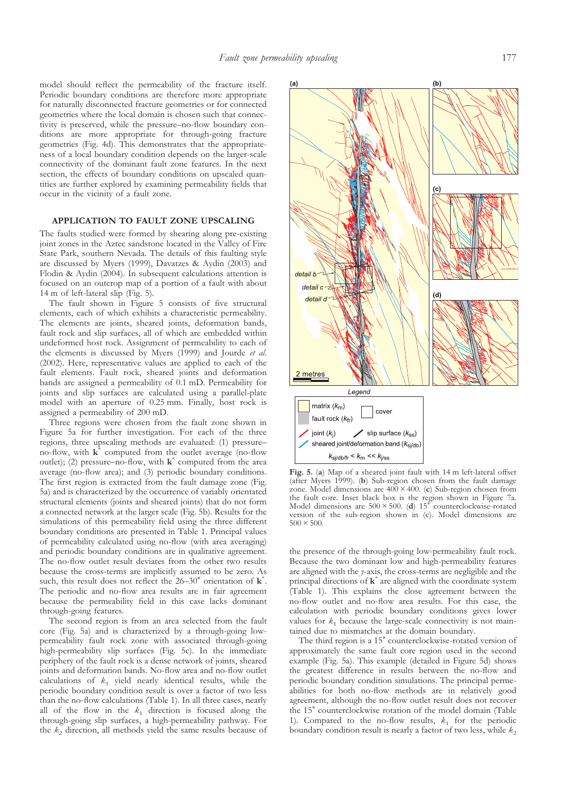model should reflect the permeability of the fracture itself. Periodic boundary conditions are therefore more appropriate for naturally disconnected fracture geometries or for connected geometries where the local domain is chosen such that connectivity is preserved, while the pressure–no-flow boundary conditions are more appropriate for through-going fracture geometries (Fig. 4d). This demonstrates that the appropriateness of a local boundary condition depends on the larger-scale connectivity of the dominant fault zone features. In the next section, the effects of boundary conditions on upscaled quantities are further explored by examining permeability fields that occur in the vicinity of a fault zone.

### **APPLICATION TO FAULT ZONE UPSCALING**

The faults studied were formed by shearing along pre-existing joint zones in the Aztec sandstone located in the Valley of Fire State Park, southern Nevada. The details of this faulting style are discussed by Myers (1999), Davatzes & Aydin (2003) and Flodin & Aydin (2004). In subsequent calculations attention is focused on an outcrop map of a portion of a fault with about 14 m of left-lateral slip (Fig. 5).

The fault shown in Figure 5 consists of five structural elements, each of which exhibits a characteristic permeability. The elements are joints, sheared joints, deformation bands, fault rock and slip surfaces, all of which are embedded within undeformed host rock. Assignment of permeability to each of the elements is discussed by Myers (1999) and Jourde *et al*. (2002). Here, representative values are applied to each of the fault elements. Fault rock, sheared joints and deformation bands are assigned a permeability of 0.1 mD. Permeability for joints and slip surfaces are calculated using a parallel-plate model with an aperture of 0.25 mm. Finally, host rock is assigned a permeability of 200 mD.

Three regions were chosen from the fault zone shown in Figure 5a for further investigation. For each of the three regions, three upscaling methods are evaluated: (1) pressure– no-flow, with **k**\* computed from the outlet average (no-flow outlet); (2) pressure–no-flow, with **k**\* computed from the area average (no-flow area); and (3) periodic boundary conditions. The first region is extracted from the fault damage zone (Fig. 5a) and is characterized by the occurrence of variably orientated structural elements (joints and sheared joints) that do not form a connected network at the larger scale (Fig. 5b). Results for the simulations of this permeability field using the three different boundary conditions are presented in Table 1. Principal values of permeability calculated using no-flow (with area averaging) and periodic boundary conditions are in qualitative agreement. The no-flow outlet result deviates from the other two results because the cross-terms are implicitly assumed to be zero. As such, this result does not reflect the 26–30 orientation of **k**\* . The periodic and no-flow area results are in fair agreement because the permeability field in this case lacks dominant through-going features.

The second region is from an area selected from the fault core (Fig. 5a) and is characterized by a through-going lowpermeability fault rock zone with associated through-going high-permeability slip surfaces (Fig. 5c). In the immediate periphery of the fault rock is a dense network of joints, sheared joints and deformation bands. No-flow area and no-flow outlet calculations of  $k_1$  yield nearly identical results, while the periodic boundary condition result is over a factor of two less than the no-flow calculations (Table 1). In all three cases, nearly all of the flow in the  $k_1$  direction is focused along the through-going slip surfaces, a high-permeability pathway. For the  $k_2$  direction, all methods yield the same results because of



**Fig. 5.** (**a**) Map of a sheared joint fault with 14 m left-lateral offset (after Myers 1999). (**b**) Sub-region chosen from the fault damage zone. Model dimensions are  $400 \times 400$ . (**c**) Sub-region chosen from the fault core. Inset black box is the region shown in Figure 7a. Model dimensions are 500×500. (**d**) 15° counterclockwise-rotated version of the sub-region shown in (c). Model dimensions are  $500 \times 500$ .

the presence of the through-going low-permeability fault rock. Because the two dominant low and high-permeability features are aligned with the *y*-axis, the cross-terms are negligible and the principal directions of **k**\* are aligned with the coordinate system (Table 1). This explains the close agreement between the no-flow outlet and no-flow area results. For this case, the calculation with periodic boundary conditions gives lower values for  $k_1$  because the large-scale connectivity is not maintained due to mismatches at the domain boundary.

The third region is a 15° counterclockwise-rotated version of approximately the same fault core region used in the second example (Fig. 5a). This example (detailed in Figure 5d) shows the greatest difference in results between the no-flow and periodic boundary condition simulations. The principal permeabilities for both no-flow methods are in relatively good agreement, although the no-flow outlet result does not recover the 15° counterclockwise rotation of the model domain (Table 1). Compared to the no-flow results,  $k_1$  for the periodic boundary condition result is nearly a factor of two less, while  $k_2$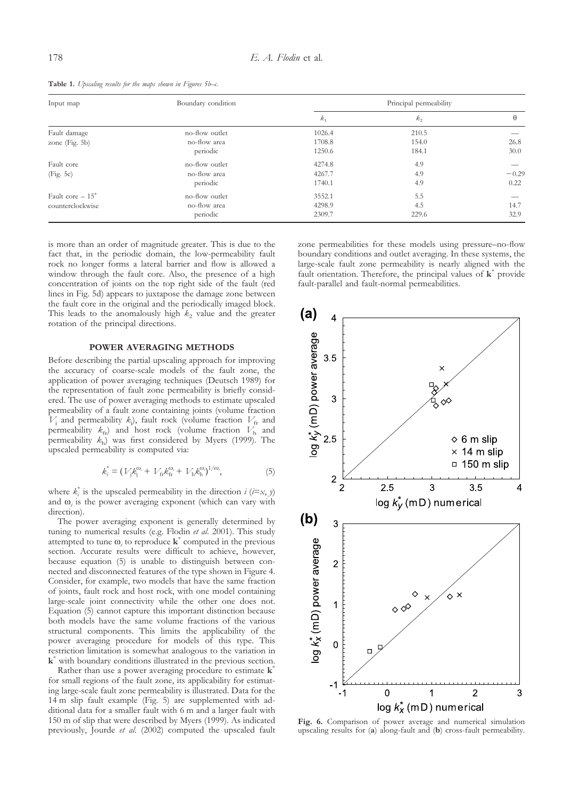**Table 1.** *Upscaling results for the maps shown in Figures 5b–c.*

| Input map                | Boundary condition | Principal permeability |         |          |
|--------------------------|--------------------|------------------------|---------|----------|
|                          |                    | $k_1$                  | $k_{2}$ | $\theta$ |
| Fault damage             | no-flow outlet     | 1026.4                 | 210.5   |          |
| zone (Fig. 5b)           | no-flow area       | 1708.8                 | 154.0   | 26.8     |
|                          | periodic           | 1250.6                 | 184.1   | 30.0     |
| Fault core               | no-flow outlet     | 4274.8                 | 4.9     |          |
| (Fig. 5c)                | no-flow area       | 4267.7                 | 4.9     | $-0.29$  |
|                          | periodic           | 1740.1                 | 4.9     | 0.22     |
| Fault core $-15^{\circ}$ | no-flow outlet     | 3552.1                 | 5.5     |          |
| counterclockwise         | no-flow area       | 4298.9                 | 4.5     | 14.7     |
|                          | periodic           | 2309.7                 | 229.6   | 32.9     |

is more than an order of magnitude greater. This is due to the fact that, in the periodic domain, the low-permeability fault rock no longer forms a lateral barrier and flow is allowed a window through the fault core. Also, the presence of a high concentration of joints on the top right side of the fault (red lines in Fig. 5d) appears to juxtapose the damage zone between the fault core in the original and the periodically imaged block. This leads to the anomalously high  $k_2$  value and the greater rotation of the principal directions.

#### **POWER AVERAGING METHODS**

Before describing the partial upscaling approach for improving the accuracy of coarse-scale models of the fault zone, the application of power averaging techniques (Deutsch 1989) for the representation of fault zone permeability is briefly considered. The use of power averaging methods to estimate upscaled permeability of a fault zone containing joints (volume fraction  $V_j$  and permeability  $k_j$ ), fault rock (volume fraction  $V_{\text{fr}}$  and permeability  $k_{\text{fr}}$ ) and host rock (volume fraction  $V_{\text{h}}$  and permeability *k*h) was first considered by Myers (1999). The upscaled permeability is computed via:

$$
k_i^* = (V_j k_j^{\omega_i} + V_{\text{fr}} k_{\text{fr}}^{\omega_i} + V_h k_h^{\omega_i})^{1/\omega_i},\tag{5}
$$

where  $k_i^*$  is the upscaled permeability in the direction *i* ( $i = x, y$ ) and  $\omega_i$  is the power averaging exponent (which can vary with direction).

The power averaging exponent is generally determined by tuning to numerical results (e.g. Flodin *et al*. 2001). This study attempted to tune  $\omega_i$  to reproduce  $\mathbf{k}^*$  computed in the previous section. Accurate results were difficult to achieve, however, because equation (5) is unable to distinguish between connected and disconnected features of the type shown in Figure 4. Consider, for example, two models that have the same fraction of joints, fault rock and host rock, with one model containing large-scale joint connectivity while the other one does not. Equation (5) cannot capture this important distinction because both models have the same volume fractions of the various structural components. This limits the applicability of the power averaging procedure for models of this type. This restriction limitation is somewhat analogous to the variation in **k**\* with boundary conditions illustrated in the previous section.

Rather than use a power averaging procedure to estimate **k**\* for small regions of the fault zone, its applicability for estimating large-scale fault zone permeability is illustrated. Data for the 14 m slip fault example (Fig. 5) are supplemented with additional data for a smaller fault with 6 m and a larger fault with 150 m of slip that were described by Myers (1999). As indicated previously, Jourde *et al*. (2002) computed the upscaled fault zone permeabilities for these models using pressure–no-flow boundary conditions and outlet averaging. In these systems, the large-scale fault zone permeability is nearly aligned with the fault orientation. Therefore, the principal values of **k**\* provide fault-parallel and fault-normal permeabilities.



**Fig. 6.** Comparison of power average and numerical simulation upscaling results for (**a**) along-fault and (**b**) cross-fault permeability.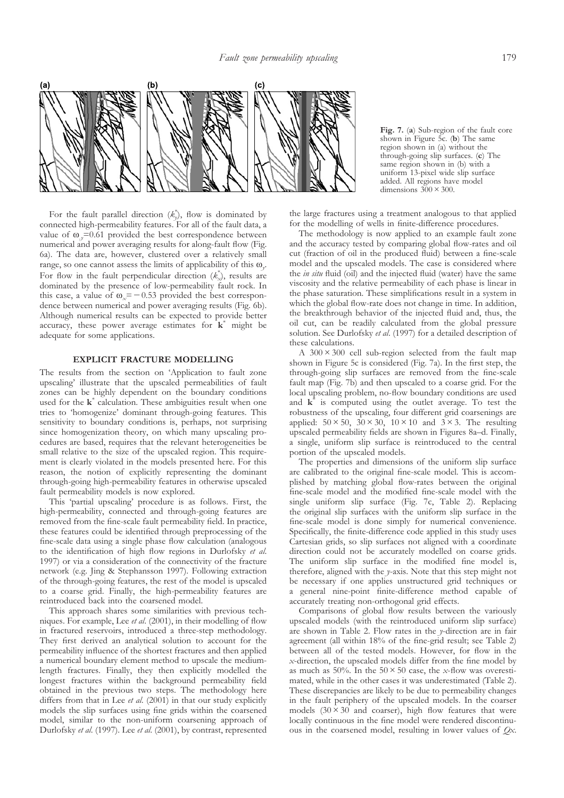

For the fault parallel direction ( $k_{y}^{*}$ ), flow is dominated by connected high-permeability features. For all of the fault data, a value of  $\omega_y = 0.61$  provided the best correspondence between numerical and power averaging results for along-fault flow (Fig. 6a). The data are, however, clustered over a relatively small range, so one cannot assess the limits of applicability of this  $\omega_{y}$ . For flow in the fault perpendicular direction ( $k^*_{x}$ ), results are dominated by the presence of low-permeability fault rock. In this case, a value of  $\omega_x = -0.53$  provided the best correspondence between numerical and power averaging results (Fig. 6b). Although numerical results can be expected to provide better accuracy, these power average estimates for **k**\* might be adequate for some applications.

# **EXPLICIT FRACTURE MODELLING**

The results from the section on 'Application to fault zone upscaling' illustrate that the upscaled permeabilities of fault zones can be highly dependent on the boundary conditions used for the **k**\* calculation. These ambiguities result when one tries to 'homogenize' dominant through-going features. This sensitivity to boundary conditions is, perhaps, not surprising since homogenization theory, on which many upscaling procedures are based, requires that the relevant heterogeneities be small relative to the size of the upscaled region. This requirement is clearly violated in the models presented here. For this reason, the notion of explicitly representing the dominant through-going high-permeability features in otherwise upscaled fault permeability models is now explored.

This 'partial upscaling' procedure is as follows. First, the high-permeability, connected and through-going features are removed from the fine-scale fault permeability field. In practice, these features could be identified through preprocessing of the fine-scale data using a single phase flow calculation (analogous to the identification of high flow regions in Durlofsky *et al*. 1997) or via a consideration of the connectivity of the fracture network (e.g. Jing & Stephansson 1997). Following extraction of the through-going features, the rest of the model is upscaled to a coarse grid. Finally, the high-permeability features are reintroduced back into the coarsened model.

This approach shares some similarities with previous techniques. For example, Lee *et al*. (2001), in their modelling of flow in fractured reservoirs, introduced a three-step methodology. They first derived an analytical solution to account for the permeability influence of the shortest fractures and then applied a numerical boundary element method to upscale the mediumlength fractures. Finally, they then explicitly modelled the longest fractures within the background permeability field obtained in the previous two steps. The methodology here differs from that in Lee *et al*. (2001) in that our study explicitly models the slip surfaces using fine grids within the coarsened model, similar to the non-uniform coarsening approach of Durlofsky *et al*. (1997). Lee *et al*. (2001), by contrast, represented

**Fig. 7.** (**a**) Sub-region of the fault core shown in Figure 5c. (**b**) The same region shown in (a) without the through-going slip surfaces. (**c**) The same region shown in (b) with a uniform 13-pixel wide slip surface added. All regions have model dimensions  $300 \times 300$ .

the large fractures using a treatment analogous to that applied for the modelling of wells in finite-difference procedures.

The methodology is now applied to an example fault zone and the accuracy tested by comparing global flow-rates and oil cut (fraction of oil in the produced fluid) between a fine-scale model and the upscaled models. The case is considered where the *in situ* fluid (oil) and the injected fluid (water) have the same viscosity and the relative permeability of each phase is linear in the phase saturation. These simplifications result in a system in which the global flow-rate does not change in time. In addition, the breakthrough behavior of the injected fluid and, thus, the oil cut, can be readily calculated from the global pressure solution. See Durlofsky *et al*. (1997) for a detailed description of these calculations.

A  $300 \times 300$  cell sub-region selected from the fault map shown in Figure 5c is considered (Fig. 7a). In the first step, the through-going slip surfaces are removed from the fine-scale fault map (Fig. 7b) and then upscaled to a coarse grid. For the local upscaling problem, no-flow boundary conditions are used and **k**\* is computed using the outlet average. To test the robustness of the upscaling, four different grid coarsenings are applied:  $50 \times 50$ ,  $30 \times 30$ ,  $10 \times 10$  and  $3 \times 3$ . The resulting upscaled permeability fields are shown in Figures 8a–d. Finally, a single, uniform slip surface is reintroduced to the central portion of the upscaled models.

The properties and dimensions of the uniform slip surface are calibrated to the original fine-scale model. This is accomplished by matching global flow-rates between the original fine-scale model and the modified fine-scale model with the single uniform slip surface (Fig. 7c, Table 2). Replacing the original slip surfaces with the uniform slip surface in the fine-scale model is done simply for numerical convenience. Specifically, the finite-difference code applied in this study uses Cartesian grids, so slip surfaces not aligned with a coordinate direction could not be accurately modelled on coarse grids. The uniform slip surface in the modified fine model is, therefore, aligned with the *y*-axis. Note that this step might not be necessary if one applies unstructured grid techniques or a general nine-point finite-difference method capable of accurately treating non-orthogonal grid effects.

Comparisons of global flow results between the variously upscaled models (with the reintroduced uniform slip surface) are shown in Table 2. Flow rates in the *y*-direction are in fair agreement (all within 18% of the fine-grid result; see Table 2) between all of the tested models. However, for flow in the *x*-direction, the upscaled models differ from the fine model by as much as 50%. In the  $50 \times 50$  case, the *x*-flow was overestimated, while in the other cases it was underestimated (Table 2). These discrepancies are likely to be due to permeability changes in the fault periphery of the upscaled models. In the coarser models  $(30 \times 30)$  and coarser), high flow features that were locally continuous in the fine model were rendered discontinuous in the coarsened model, resulting in lower values of *Qx*.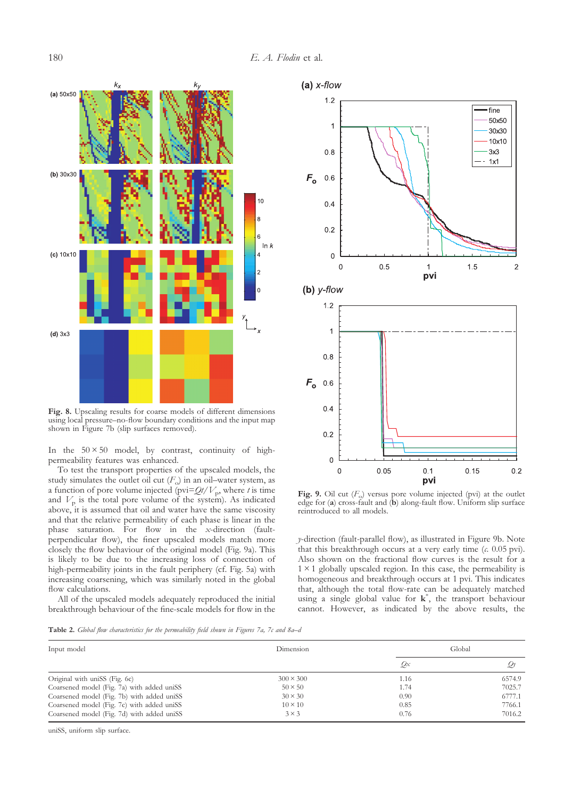

**Fig. 8.** Upscaling results for coarse models of different dimensions using local pressure–no-flow boundary conditions and the input map shown in Figure 7b (slip surfaces removed).

In the  $50 \times 50$  model, by contrast, continuity of highpermeability features was enhanced.

To test the transport properties of the upscaled models, the study simulates the outlet oil cut  $(F_0)$  in an oil–water system, as a function of pore volume injected ( $pvi = Qt/V_p$ , where *t* is time and  $V_p$  is the total pore volume of the system). As indicated above, it is assumed that oil and water have the same viscosity and that the relative permeability of each phase is linear in the phase saturation. For flow in the *x*-direction (faultperpendicular flow), the finer upscaled models match more closely the flow behaviour of the original model (Fig. 9a). This is likely to be due to the increasing loss of connection of high-permeability joints in the fault periphery (cf. Fig. 5a) with increasing coarsening, which was similarly noted in the global flow calculations.

All of the upscaled models adequately reproduced the initial breakthrough behaviour of the fine-scale models for flow in the



**Fig. 9.** Oil cut  $(F_0)$  versus pore volume injected (pvi) at the outlet edge for (**a**) cross-fault and (**b**) along-fault flow. Uniform slip surface reintroduced to all models.

*y*-direction (fault-parallel flow), as illustrated in Figure 9b. Note that this breakthrough occurs at a very early time (*c*. 0.05 pvi). Also shown on the fractional flow curves is the result for a  $1 \times 1$  globally upscaled region. In this case, the permeability is homogeneous and breakthrough occurs at 1 pvi. This indicates that, although the total flow-rate can be adequately matched using a single global value for **k**\* , the transport behaviour cannot. However, as indicated by the above results, the

**Table 2.** *Global flow characteristics for the permeability field shown in Figures 7a, 7c and 8a–d*

| Input model                                | Dimension        | Global |        |
|--------------------------------------------|------------------|--------|--------|
|                                            |                  | Qx     |        |
| Original with uniSS (Fig. 6c)              | $300 \times 300$ | 1.16   | 6574.9 |
| Coarsened model (Fig. 7a) with added uniSS | $50 \times 50$   | 1.74   | 7025.7 |
| Coarsened model (Fig. 7b) with added uniSS | $30 \times 30$   | 0.90   | 6777.1 |
| Coarsened model (Fig. 7c) with added uniSS | $10 \times 10$   | 0.85   | 7766.1 |
| Coarsened model (Fig. 7d) with added uniSS | $3 \times 3$     | 0.76   | 7016.2 |

uniSS, uniform slip surface.